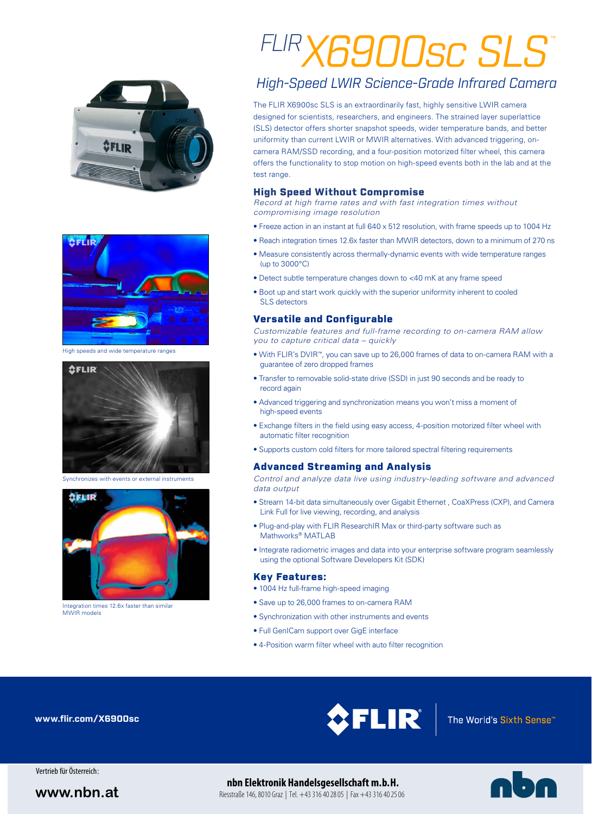



High speeds and wide temperature ranges



Synchronizes with events or external instruments



Integration times 12.6x faster than similar MMIR models

# *FLIRX6900sc SLS* ™

### *High-Speed LWIR Science-Grade Infrared Camera*

The FLIR X6900sc SLS is an extraordinarily fast, highly sensitive LWIR camera designed for scientists, researchers, and engineers. The strained layer superlattice (SLS) detector offers shorter snapshot speeds, wider temperature bands, and better uniformity than current LWIR or MWIR alternatives. With advanced triggering, oncamera RAM/SSD recording, and a four-position motorized filter wheel, this camera offers the functionality to stop motion on high-speed events both in the lab and at the test range.

### High Speed Without Compromise

*Record at high frame rates and with fast integration times without compromising image resolution*

- Freeze action in an instant at full 640 x 512 resolution, with frame speeds up to 1004 Hz
- Reach integration times 12.6x faster than MWIR detectors, down to a minimum of 270 ns
- Measure consistently across thermally-dynamic events with wide temperature ranges (up to 3000°C)
- Detect subtle temperature changes down to <40 mK at any frame speed
- Boot up and start work quickly with the superior uniformity inherent to cooled SLS detectors

### Versatile and Configurable

*Customizable features and full-frame recording to on-camera RAM allow you to capture critical data – quickly*

- With FLIR's DVIR™, you can save up to 26,000 frames of data to on-camera RAM with a guarantee of zero dropped frames
- Transfer to removable solid-state drive (SSD) in just 90 seconds and be ready to record again
- Advanced triggering and synchronization means you won't miss a moment of high-speed events
- Exchange filters in the field using easy access, 4-position motorized filter wheel with automatic filter recognition
- Supports custom cold filters for more tailored spectral filtering requirements

### Advanced Streaming and Analysis

*Control and analyze data live using industry-leading software and advanced data output*

- Stream 14-bit data simultaneously over Gigabit Ethernet , CoaXPress (CXP), and Camera Link Full for live viewing, recording, and analysis
- Plug-and-play with FLIR ResearchIR Max or third-party software such as Mathworks® MATLAB
- Integrate radiometric images and data into your enterprise software program seamlessly using the optional Software Developers Kit (SDK)

### Key Features:

- 1004 Hz full-frame high-speed imaging
- Save up to 26,000 frames to on-camera RAM
- Synchronization with other instruments and events
- Full GenICam support over GigE interface
- 4-Position warm filter wheel with auto filter recognition

**www.flir.com/X6900sc**



Vertrieb für Österreich:

### **nbn Elektronik Handelsgesellschaft m.b.H.**

**www.nbn.at** Riesstraße 146, 8010 Graz | Tel. +43 316 40 28 05 | Fax +43 316 40 25 06